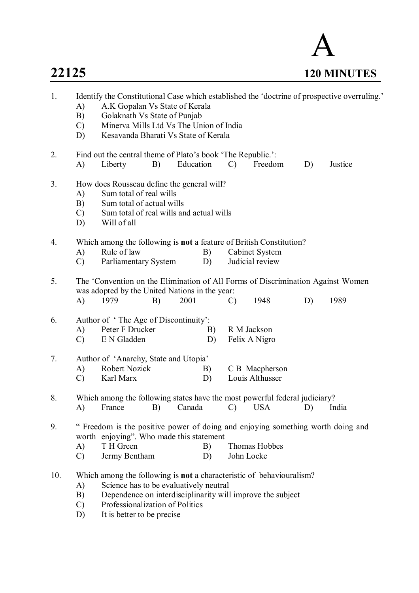# A **22125 120 MINUTES**

| 1.  | A)<br>B)<br>$\mathcal{C}$<br>D) | A.K Gopalan Vs State of Kerala<br>Golaknath Vs State of Punjab<br>Minerva Mills Ltd Vs The Union of India<br>Kesavanda Bharati Vs State of Kerala             |    |           |          |               | Identify the Constitutional Case which established the 'doctrine of prospective overruling.'                                              |    |         |  |
|-----|---------------------------------|---------------------------------------------------------------------------------------------------------------------------------------------------------------|----|-----------|----------|---------------|-------------------------------------------------------------------------------------------------------------------------------------------|----|---------|--|
| 2.  | A)                              | Find out the central theme of Plato's book 'The Republic.':<br>Liberty                                                                                        | B) | Education |          | $\mathcal{C}$ | Freedom                                                                                                                                   | D) | Justice |  |
| 3.  | A)<br>B)<br>$\mathcal{C}$<br>D) | How does Rousseau define the general will?<br>Sum total of real wills<br>Sum total of actual wills<br>Sum total of real wills and actual wills<br>Will of all |    |           |          |               |                                                                                                                                           |    |         |  |
| 4.  | A)<br>$\mathcal{C}$             | Rule of law<br>Parliamentary System                                                                                                                           |    |           | B)<br>D) |               | Which among the following is <b>not</b> a feature of British Constitution?<br>Cabinet System<br>Judicial review                           |    |         |  |
| 5.  | A)                              | was adopted by the United Nations in the year:<br>1979                                                                                                        | B) | 2001      |          | $\mathcal{C}$ | The 'Convention on the Elimination of All Forms of Discrimination Against Women<br>1948                                                   | D) | 1989    |  |
| 6.  | A)<br>$\mathcal{C}$             | Author of 'The Age of Discontinuity':<br>Peter F Drucker<br>E N Gladden                                                                                       |    |           | B)<br>D) |               | R M Jackson<br>Felix A Nigro                                                                                                              |    |         |  |
| 7.  | A)<br>$\mathcal{C}$             | Author of 'Anarchy, State and Utopia'<br>Robert Nozick<br>Karl Marx                                                                                           |    |           | B)<br>D) |               | C B Macpherson<br>Louis Althusser                                                                                                         |    |         |  |
| 8.  | A)                              | France                                                                                                                                                        | B) | Canada    |          | $\mathcal{C}$ | Which among the following states have the most powerful federal judiciary?<br><b>USA</b>                                                  | D) | India   |  |
| 9.  | A)<br>$\mathcal{C}$             | worth enjoying". Who made this statement<br>T H Green<br>Jermy Bentham                                                                                        |    |           | B)<br>D) |               | " Freedom is the positive power of doing and enjoying something worth doing and<br>Thomas Hobbes<br>John Locke                            |    |         |  |
| 10. | A)<br>B)<br>C)                  | Science has to be evaluatively neutral<br>Professionalization of Politics                                                                                     |    |           |          |               | Which among the following is <b>not</b> a characteristic of behaviouralism?<br>Dependence on interdisciplinarity will improve the subject |    |         |  |

D) It is better to be precise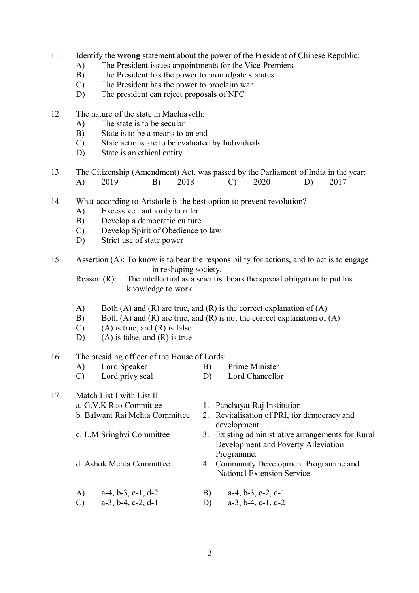- 11. Identify the **wrong** statement about the power of the President of Chinese Republic:
	- A) The President issues appointments for the Vice-Premiers
	- B) The President has the power to promulgate statutes
	- C) The President has the power to proclaim war
	- D) The president can reject proposals of NPC
- 12. The nature of the state in Machiavelli:
	- A) The state is to be secular
	- B) State is to be a means to an end
	- C) State actions are to be evaluated by Individuals
	- D) State is an ethical entity
- 13. The Citizenship (Amendment) Act, was passed by the Parliament of India in the year: A) 2019 B) 2018 C) 2020 D) 2017
- 14. What according to Aristotle is the best option to prevent revolution?
	- A) Excessive authority to ruler
	- B) Develop a democratic culture
	- C) Develop Spirit of Obedience to law
	- D) Strict use of state power
- 15. Assertion (A): To know is to bear the responsibility for actions, and to act is to engage in reshaping society.

Reason  $(R)$ : The intellectual as a scientist bears the special obligation to put his knowledge to work.

- A) Both (A) and (R) are true, and (R) is the correct explanation of (A)
- B) Both (A) and (R) are true, and (R) is not the correct explanation of (A)
- $(C)$  (A) is true, and  $(R)$  is false
- D) (A) is false, and (R) is true

### 16. The presiding officer of the House of Lords:

- A) Lord Speaker B) Prime Minister
- C) Lord privy seal D) Lord Chancellor
- 17. Match List I with List II a. G.V.K Rao Committee 1. Panchayat Raj Institution<br>b Balwant Raj Mehta Committee 2. Revitalisation of PRI for 2. Revitalisation of PRI, for democracy and development c. L.M Sringhvi Committee 3. Existing administrative arrangements for Rural Development and Poverty Alleviation Programme. d. Ashok Mehta Committee 4. Community Development Programme and National Extension Service A) a-4, b-3, c-1, d-2 B) a-4, b-3, c-2, d-1 C) a-3, b-4, c-2, d-1 D) a-3, b-4, c-1, d-2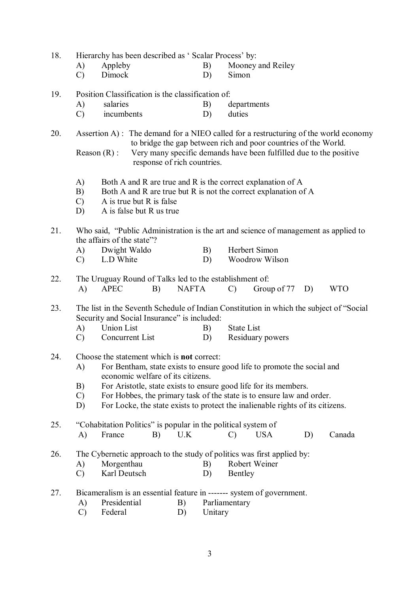| 18. | A)<br>$\mathcal{C}$             | Hierarchy has been described as 'Scalar Process' by:<br>Appleby<br>Dimock              |                             |              | B)<br>D) | Simon                 | Mooney and Reiley                                                                                                                                                                                                                                                                                      |    |                                                                                     |
|-----|---------------------------------|----------------------------------------------------------------------------------------|-----------------------------|--------------|----------|-----------------------|--------------------------------------------------------------------------------------------------------------------------------------------------------------------------------------------------------------------------------------------------------------------------------------------------------|----|-------------------------------------------------------------------------------------|
| 19. | A)<br>$\mathcal{C}$             | Position Classification is the classification of:<br>salaries<br>incumbents            |                             |              | B)<br>D) | departments<br>duties |                                                                                                                                                                                                                                                                                                        |    |                                                                                     |
| 20. | Reason $(R)$ :                  |                                                                                        | response of rich countries. |              |          |                       | to bridge the gap between rich and poor countries of the World.<br>Very many specific demands have been fulfilled due to the positive                                                                                                                                                                  |    | Assertion A): The demand for a NIEO called for a restructuring of the world economy |
|     | A)<br>B)<br>$\mathcal{C}$<br>D) | A is true but R is false<br>A is false but R us true                                   |                             |              |          |                       | Both A and R are true and R is the correct explanation of A<br>Both A and R are true but R is not the correct explanation of A                                                                                                                                                                         |    |                                                                                     |
| 21. | A)<br>$\mathcal{C}$             | the affairs of the state"?<br>Dwight Waldo<br>L.D White                                |                             |              | B)<br>D) |                       | Who said, "Public Administration is the art and science of management as applied to<br>Herbert Simon<br>Woodrow Wilson                                                                                                                                                                                 |    |                                                                                     |
| 22. | A)                              | The Uruguay Round of Talks led to the establishment of:<br><b>APEC</b>                 | B)                          | <b>NAFTA</b> |          | $\mathcal{C}$         | Group of 77                                                                                                                                                                                                                                                                                            | D) | <b>WTO</b>                                                                          |
| 23. | A)<br>$\mathcal{C}$             | Security and Social Insurance" is included:<br><b>Union List</b><br>Concurrent List    |                             |              | B)<br>D) | <b>State List</b>     | The list in the Seventh Schedule of Indian Constitution in which the subject of "Social"<br>Residuary powers                                                                                                                                                                                           |    |                                                                                     |
| 24. | A)<br>B)<br>$\mathcal{C}$<br>D) | Choose the statement which is <b>not</b> correct:<br>economic welfare of its citizens. |                             |              |          |                       | For Bentham, state exists to ensure good life to promote the social and<br>For Aristotle, state exists to ensure good life for its members.<br>For Hobbes, the primary task of the state is to ensure law and order.<br>For Locke, the state exists to protect the inalienable rights of its citizens. |    |                                                                                     |
| 25. | A)                              | "Cohabitation Politics" is popular in the political system of<br>France                | B)                          | U.K          |          | C)                    | <b>USA</b>                                                                                                                                                                                                                                                                                             | D) | Canada                                                                              |
| 26. | A)<br>$\mathcal{C}$             | Morgenthau<br>Karl Deutsch                                                             |                             |              | B)<br>D) | Bentley               | The Cybernetic approach to the study of politics was first applied by:<br>Robert Weiner                                                                                                                                                                                                                |    |                                                                                     |
| 27. | A)<br>$\mathcal{C}$             | Presidential<br>Federal                                                                |                             | B)<br>D)     | Unitary  | Parliamentary         | Bicameralism is an essential feature in ------- system of government.                                                                                                                                                                                                                                  |    |                                                                                     |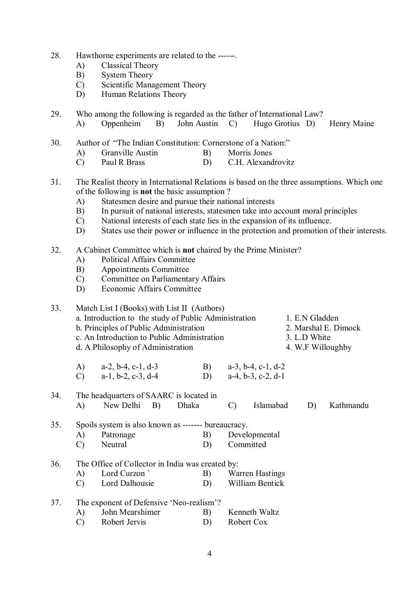- 28. Hawthorne experiments are related to the ------.
	- A) Classical Theory
	- B) System Theory
	- C) Scientific Management Theory
	- D) Human Relations Theory
- 29. Who among the following is regarded as the father of International Law?
	- A) Oppenheim B) John Austin C) Hugo Grotius D) Henry Maine
- 30. Author of "The Indian Constitution: Cornerstone of a Nation:"
	- A) Granville Austin B) Morris Jones
	- C) Paul R Brass D) C.H. Alexandrovitz
- 31. The Realist theory in International Relations is based on the three assumptions. Which one of the following is **not** the basic assumption ?
	- A) Statesmen desire and pursue their national interests
	- B) In pursuit of national interests, statesmen take into account moral principles
	- C) National interests of each state lies in the expansion of its influence.
	- D) States use their power or influence in the protection and promotion of their interests.

## 32. A Cabinet Committee which is **not** chaired by the Prime Minister?

- A) Political Affairs Committee
- B) Appointments Committee
- C) Committee on Parliamentary Affairs
- D) Economic Affairs Committee
- 33. Match List I (Books) with List II (Authors) a. Introduction to the study of Public Administration 1. E.N Gladden<br>b. Principles of Public Administration 2. Marshal E. Dimock b. Principles of Public Administration c. An Introduction to Public Administration 3. L.D White d. A Philosophy of Administration 4. W.F Willoughby A) a-2, b-4, c-1, d-3 B) a-3, b-4, c-1, d-2 C) a-1, b-2, c-3, d-4 D) a-4, b-3, c-2, d-1 34. The headquarters of SAARC is located in A) New Delhi B) Dhaka C) Islamabad D) Kathmandu 35. Spoils system is also known as ------- bureaucracy. A) Patronage B) Developmental C) Neutral D) Committed 36. The Office of Collector in India was created by: A) Lord Curzon ` B) Warren Hastings C) Lord Dalhousie D) William Bentick 37. The exponent of Defensive 'Neo-realism'? A) John Mearshimer B) Kenneth Waltz C) Robert Jervis D) Robert Cox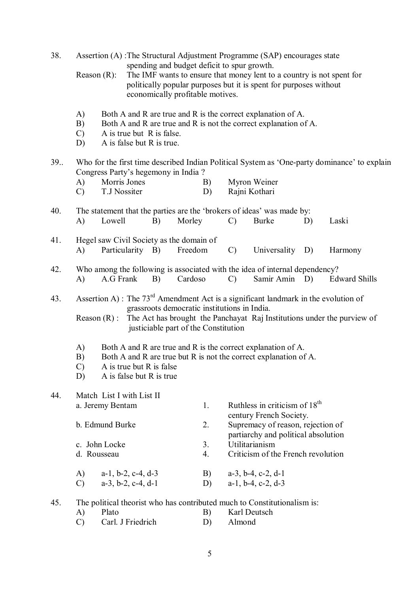| 38. | Assertion (A) : The Structural Adjustment Programme (SAP) encourages state<br>spending and budget deficit to spur growth. |                                                                                                                                                                           |                               |                                                          |                                                                                      |          |               |                                                                                                                                            |    |                                                                         |
|-----|---------------------------------------------------------------------------------------------------------------------------|---------------------------------------------------------------------------------------------------------------------------------------------------------------------------|-------------------------------|----------------------------------------------------------|--------------------------------------------------------------------------------------|----------|---------------|--------------------------------------------------------------------------------------------------------------------------------------------|----|-------------------------------------------------------------------------|
|     | Reason $(R)$ :                                                                                                            |                                                                                                                                                                           |                               |                                                          | economically profitable motives.                                                     |          |               | The IMF wants to ensure that money lent to a country is not spent for<br>politically popular purposes but it is spent for purposes without |    |                                                                         |
|     | A)<br>B)<br>$\mathcal{C}$<br>D)                                                                                           |                                                                                                                                                                           |                               | A is true but $R$ is false.<br>A is false but R is true. |                                                                                      |          |               | Both A and R are true and R is the correct explanation of A.<br>Both A and R are true and R is not the correct explanation of A.           |    |                                                                         |
| 39. | A)                                                                                                                        | Who for the first time described Indian Political System as 'One-party dominance' to explain<br>Congress Party's hegemony in India?<br>Morris Jones<br>Myron Weiner<br>B) |                               |                                                          |                                                                                      |          |               |                                                                                                                                            |    |                                                                         |
|     | $\mathcal{C}$                                                                                                             | T.J Nossiter                                                                                                                                                              |                               |                                                          |                                                                                      | D)       |               | Rajni Kothari                                                                                                                              |    |                                                                         |
| 40. | A)                                                                                                                        | Lowell                                                                                                                                                                    |                               | B)                                                       | Morley                                                                               |          | $\mathcal{C}$ | The statement that the parties are the 'brokers of ideas' was made by:<br><b>Burke</b>                                                     | D) | Laski                                                                   |
| 41. | A)                                                                                                                        | Hegel saw Civil Society as the domain of                                                                                                                                  | Particularity B)              |                                                          | Freedom                                                                              |          | $\mathcal{C}$ | Universality D)                                                                                                                            |    | Harmony                                                                 |
| 42. | A)                                                                                                                        | A.G Frank                                                                                                                                                                 |                               | B)                                                       | Cardoso                                                                              |          | $\mathcal{C}$ | Who among the following is associated with the idea of internal dependency?<br>Samir Amin D)                                               |    | <b>Edward Shills</b>                                                    |
| 43. |                                                                                                                           | Reason $(R)$ :                                                                                                                                                            |                               |                                                          | grassroots democratic institutions in India.<br>justiciable part of the Constitution |          |               | Assertion A) : The $73^{rd}$ Amendment Act is a significant landmark in the evolution of                                                   |    | The Act has brought the Panchayat Raj Institutions under the purview of |
|     | A)<br>B)<br>$\mathcal{C}$<br>D)                                                                                           |                                                                                                                                                                           |                               | A is true but R is false<br>A is false but R is true     |                                                                                      |          |               | Both A and R are true and R is the correct explanation of A.<br>Both A and R are true but R is not the correct explanation of A.           |    |                                                                         |
| 44. |                                                                                                                           | Match List I with List II<br>a. Jeremy Bentam                                                                                                                             |                               |                                                          |                                                                                      | 1.       |               | Ruthless in criticism of 18 <sup>th</sup>                                                                                                  |    |                                                                         |
|     |                                                                                                                           | b. Edmund Burke                                                                                                                                                           |                               |                                                          |                                                                                      | 2.       |               | century French Society.<br>Supremacy of reason, rejection of<br>partiarchy and political absolution                                        |    |                                                                         |
|     |                                                                                                                           | c. John Locke                                                                                                                                                             |                               |                                                          |                                                                                      | 3.       |               | Utilitarianism                                                                                                                             |    |                                                                         |
|     |                                                                                                                           | d. Rousseau                                                                                                                                                               |                               |                                                          |                                                                                      | 4.       |               | Criticism of the French revolution                                                                                                         |    |                                                                         |
|     | A)<br>$\mathcal{C}$                                                                                                       | $a-3$ , $b-2$ , $c-4$ , $d-1$                                                                                                                                             | $a-1$ , $b-2$ , $c-4$ , $d-3$ |                                                          |                                                                                      | B)<br>D) |               | $a-3$ , $b-4$ , $c-2$ , $d-1$<br>$a-1$ , $b-4$ , $c-2$ , $d-3$                                                                             |    |                                                                         |
| 45. | A)                                                                                                                        | Plato                                                                                                                                                                     |                               |                                                          |                                                                                      | B)       |               | The political theorist who has contributed much to Constitutionalism is:<br>Karl Deutsch                                                   |    |                                                                         |
|     | $\mathcal{C}$                                                                                                             |                                                                                                                                                                           | Carl. J Friedrich             |                                                          |                                                                                      | D)       | Almond        |                                                                                                                                            |    |                                                                         |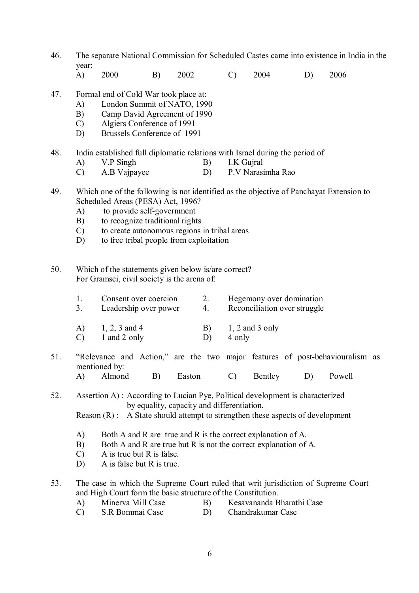- 46. The separate National Commission for Scheduled Castes came into existence in India in the year:
	- A) 2000 B) 2002 C) 2004 D) 2006
- 47. Formal end of Cold War took place at:
	- A) London Summit of NATO, 1990
	- B) Camp David Agreement of 1990
	- C) Algiers Conference of 1991
	- D) Brussels Conference of 1991
- 48. India established full diplomatic relations with Israel during the period of
	- A) V.P Singh B) I.K Gujral
	- C) A.B Vajpayee D) P.V Narasimha Rao
- 49. Which one of the following is not identified as the objective of Panchayat Extension to Scheduled Areas (PESA) Act, 1996?
	- A) to provide self-government
	- B) to recognize traditional rights
	- C) to create autonomous regions in tribal areas
	- D) to free tribal people from exploitation
- 50. Which of the statements given below is/are correct? For Gramsci, civil society is the arena of:

| $\mathbf{1}$  | Consent over coercion | <sup>2.</sup> | Hegemony over domination     |
|---------------|-----------------------|---------------|------------------------------|
| 3.            | Leadership over power | 4             | Reconciliation over struggle |
| A)            | 1, 2, 3 and 4         | B)            | $1, 2$ and 3 only            |
| $\mathcal{C}$ | 1 and 2 only          |               | 4 only                       |

- 51. "Relevance and Action," are the two major features of post-behaviouralism as mentioned by: A) Almond B) Easton C) Bentley D) Powell
- 52. Assertion A) : According to Lucian Pye, Political development is characterized by equality, capacity and differentiation.
	- Reason (R) : A State should attempt to strengthen these aspects of development
	- A) Both A and R are true and R is the correct explanation of A.
	- B) Both A and R are true but R is not the correct explanation of A.
	- C) A is true but R is false.
	- D) A is false but R is true.
- 53. The case in which the Supreme Court ruled that writ jurisdiction of Supreme Court and High Court form the basic structure of the Constitution.
	- A) Minerva Mill Case B) Kesavananda Bharathi Case
	- C) S.R Bommai Case D) Chandrakumar Case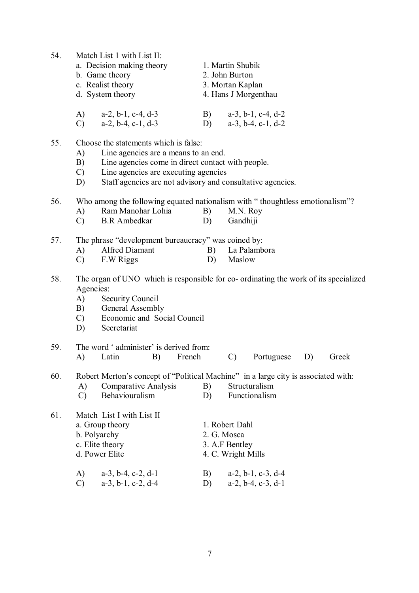| 54. | Match List 1 with List II:                    |                                     |  |  |
|-----|-----------------------------------------------|-------------------------------------|--|--|
|     | a. Decision making theory                     | 1. Martin Shubik                    |  |  |
|     | b. Game theory                                | 2. John Burton                      |  |  |
|     | c. Realist theory                             | 3. Mortan Kaplan                    |  |  |
|     | d. System theory                              | 4. Hans J Morgenthau                |  |  |
|     | $a-2$ , $b-1$ , $c-4$ , $d-3$<br>A)           | $a-3$ , $b-1$ , $c-4$ , $d-2$<br>B) |  |  |
|     | $a-2$ , $b-4$ , $c-1$ , $d-3$<br>$\mathbf{C}$ | $a-3$ , $b-4$ , $c-1$ , $d-2$<br>D) |  |  |

### 55. Choose the statements which is false:

- A) Line agencies are a means to an end.
- B) Line agencies come in direct contact with people.
- C) Line agencies are executing agencies
- D) Staff agencies are not advisory and consultative agencies.

56. Who among the following equated nationalism with " thoughtless emotionalism"?

- A) Ram Manohar Lohia B) M.N. Roy
- C) B.R Ambedkar D) Gandhiji

57. The phrase "development bureaucracy" was coined by:

- A) Alfred Diamant B) La Palambora
- C) F.W Riggs D) Maslow
- 58. The organ of UNO which is responsible for co- ordinating the work of its specialized Agencies:
	- A) Security Council
	- B) General Assembly
	- C) Economic and Social Council
	- D) Secretariat

# 59. The word ' administer' is derived from: A) Latin B) French C) Portuguese D) Greek

60. Robert Merton's concept of "Political Machine" in a large city is associated with:

- A) Comparative Analysis B) Structuralism
- C) Behaviouralism D) Functionalism

| 61. | Match List I with List II           |                                     |  |  |
|-----|-------------------------------------|-------------------------------------|--|--|
|     | a. Group theory                     | 1. Robert Dahl                      |  |  |
|     | b. Polyarchy                        | 2. G. Mosca                         |  |  |
|     | c. Elite theory                     | 3. A.F Bentley                      |  |  |
|     | d. Power Elite                      | 4. C. Wright Mills                  |  |  |
|     | $a-3$ , $b-4$ , $c-2$ , $d-1$<br>A) | $a-2$ , $b-1$ , $c-3$ , $d-4$<br>B) |  |  |
|     | $a-3$ , $b-1$ , $c-2$ , $d-4$<br>C) | $a-2$ , $b-4$ , $c-3$ , $d-1$<br>D) |  |  |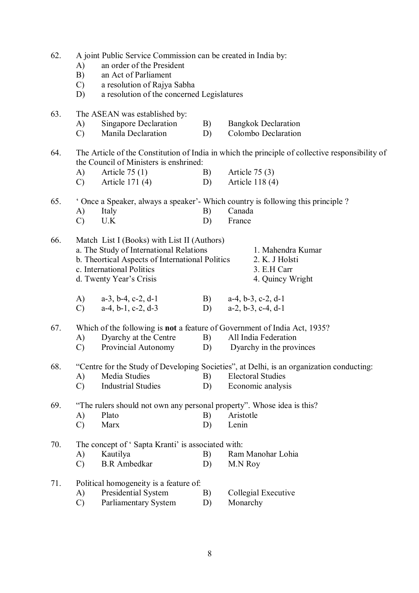| 62. | A)            | A joint Public Service Commission can be created in India by:<br>an order of the President |    |                                                                                                 |
|-----|---------------|--------------------------------------------------------------------------------------------|----|-------------------------------------------------------------------------------------------------|
|     | B)            | an Act of Parliament                                                                       |    |                                                                                                 |
|     | $\mathcal{C}$ | a resolution of Rajya Sabha                                                                |    |                                                                                                 |
|     | D)            | a resolution of the concerned Legislatures                                                 |    |                                                                                                 |
| 63. |               | The ASEAN was established by:                                                              |    |                                                                                                 |
|     | A)            | <b>Singapore Declaration</b>                                                               | B) | <b>Bangkok Declaration</b>                                                                      |
|     | $\mathcal{C}$ | Manila Declaration                                                                         | D) | Colombo Declaration                                                                             |
| 64. |               |                                                                                            |    | The Article of the Constitution of India in which the principle of collective responsibility of |
|     |               | the Council of Ministers is enshrined:                                                     |    |                                                                                                 |
|     | A)            | Article $75(1)$                                                                            | B) | Article $75(3)$                                                                                 |
|     | $\mathcal{C}$ | Article 171 (4)                                                                            | D) | Article 118 (4)                                                                                 |
| 65. |               |                                                                                            |    | Once a Speaker, always a speaker'- Which country is following this principle ?                  |
|     | A)            | Italy                                                                                      | B) | Canada                                                                                          |
|     | $\mathcal{C}$ | U.K                                                                                        | D) | France                                                                                          |
| 66. |               | Match List I (Books) with List II (Authors)                                                |    |                                                                                                 |
|     |               | a. The Study of International Relations                                                    |    | 1. Mahendra Kumar                                                                               |
|     |               | b. Theortical Aspects of International Politics                                            |    | 2. K. J Holsti                                                                                  |
|     |               | c. International Politics                                                                  |    | 3. E.H Carr                                                                                     |
|     |               | d. Twenty Year's Crisis                                                                    |    | 4. Quincy Wright                                                                                |
|     | A)            | $a-3$ , $b-4$ , $c-2$ , $d-1$                                                              |    | B) $a-4, b-3, c-2, d-1$                                                                         |
|     | $\mathcal{C}$ | $a-4$ , $b-1$ , $c-2$ , $d-3$                                                              |    | D) $a-2, b-3, c-4, d-1$                                                                         |
| 67. |               |                                                                                            |    | Which of the following is <b>not</b> a feature of Government of India Act, 1935?                |
|     | A)            | Dyarchy at the Centre                                                                      | B) | All India Federation                                                                            |
|     | $\mathcal{C}$ | Provincial Autonomy                                                                        | D) | Dyarchy in the provinces                                                                        |
| 68. |               |                                                                                            |    | "Centre for the Study of Developing Societies", at Delhi, is an organization conducting:        |
|     | A)            | Media Studies                                                                              | B) | <b>Electoral Studies</b>                                                                        |
|     | $\mathcal{C}$ | <b>Industrial Studies</b>                                                                  | D) | Economic analysis                                                                               |
| 69. |               | "The rulers should not own any personal property". Whose idea is this?                     |    |                                                                                                 |
|     | A)            | Plato                                                                                      | B) | Aristotle                                                                                       |
|     | $\mathcal{C}$ | Marx                                                                                       | D) | Lenin                                                                                           |
| 70. |               | The concept of 'Sapta Kranti' is associated with:                                          |    |                                                                                                 |
|     | A)            | Kautilya                                                                                   | B) | Ram Manohar Lohia                                                                               |
|     | $\mathcal{C}$ | <b>B.R</b> Ambedkar                                                                        | D) | M.N Roy                                                                                         |
| 71. |               | Political homogeneity is a feature of:                                                     |    |                                                                                                 |
|     | A)            | Presidential System                                                                        | B) | Collegial Executive                                                                             |
|     | $\mathcal{C}$ | <b>Parliamentary System</b>                                                                | D) | Monarchy                                                                                        |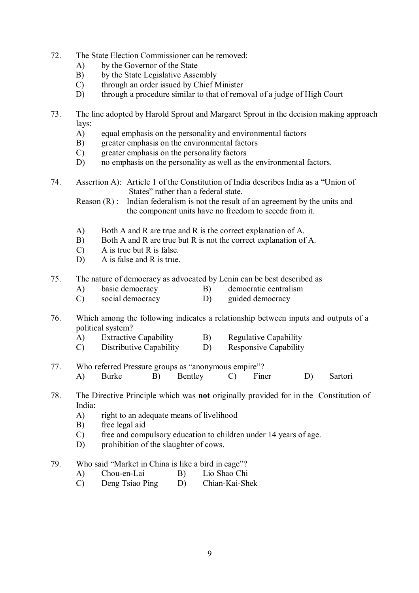- 72. The State Election Commissioner can be removed:
	- A) by the Governor of the State
	- B) by the State Legislative Assembly
	- C) through an order issued by Chief Minister
	- D) through a procedure similar to that of removal of a judge of High Court
- 73. The line adopted by Harold Sprout and Margaret Sprout in the decision making approach lays:
	- A) equal emphasis on the personality and environmental factors
	- B) greater emphasis on the environmental factors
	- C) greater emphasis on the personality factors
	- D) no emphasis on the personality as well as the environmental factors.
- 74. Assertion A): Article 1 of the Constitution of India describes India as a "Union of States" rather than a federal state.

Reason  $(R)$ : Indian federalism is not the result of an agreement by the units and the component units have no freedom to secede from it.

- A) Both A and R are true and R is the correct explanation of A.
- B) Both A and R are true but R is not the correct explanation of A.
- C) A is true but R is false.
- D) A is false and R is true.
- 75. The nature of democracy as advocated by Lenin can be best described as
	- A) basic democracy B) democratic centralism
	- C) social democracy D) guided democracy
- 76. Which among the following indicates a relationship between inputs and outputs of a political system?
	- A) Extractive Capability B) Regulative Capability
	- C) Distributive Capability D) Responsive Capability
- 77. Who referred Pressure groups as "anonymous empire"? A) Burke B) Bentley C) Finer D) Sartori
- 78. The Directive Principle which was **not** originally provided for in the Constitution of India:
	- A) right to an adequate means of livelihood
	- B) free legal aid
	- C) free and compulsory education to children under 14 years of age.
	- D) prohibition of the slaughter of cows.
- 79. Who said "Market in China is like a bird in cage"?
	- A) Chou-en-Lai B) Lio Shao Chi
	- C) Deng Tsiao Ping D) Chian-Kai-Shek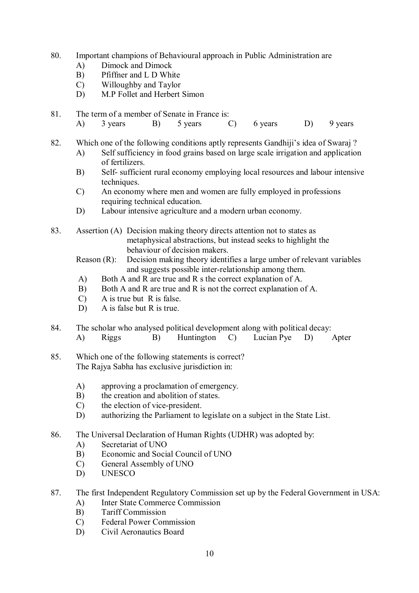- 80. Important champions of Behavioural approach in Public Administration are
	- A) Dimock and Dimock
	- B) Pfiffner and L D White
	- C) Willoughby and Taylor
	- D) M.P Follet and Herbert Simon
- 81. The term of a member of Senate in France is:
	- A) 3 years B) 5 years C) 6 years D) 9 years
- 82. Which one of the following conditions aptly represents Gandhiji's idea of Swaraj ?
	- A) Self sufficiency in food grains based on large scale irrigation and application of fertilizers.
	- B) Self- sufficient rural economy employing local resources and labour intensive techniques.
	- C) An economy where men and women are fully employed in professions requiring technical education.
	- D) Labour intensive agriculture and a modern urban economy.
- 83. Assertion (A) Decision making theory directs attention not to states as metaphysical abstractions, but instead seeks to highlight the behaviour of decision makers.
	- Reason (R): Decision making theory identifies a large umber of relevant variables and suggests possible inter-relationship among them.
	- A) Both A and R are true and R s the correct explanation of A.
	- B) Both A and R are true and R is not the correct explanation of A.
	- C) A is true but R is false.
	- D) A is false but R is true.
- 84. The scholar who analysed political development along with political decay:
	- A) Riggs B) Huntington C) Lucian Pye D) Apter
- 85. Which one of the following statements is correct? The Rajya Sabha has exclusive jurisdiction in:
	- A) approving a proclamation of emergency.
	- B) the creation and abolition of states.
	- C) the election of vice-president.
	- D) authorizing the Parliament to legislate on a subject in the State List.
- 86. The Universal Declaration of Human Rights (UDHR) was adopted by:
	- A) Secretariat of UNO
	- B) Economic and Social Council of UNO
	- C) General Assembly of UNO
	- D) UNESCO
- 87. The first Independent Regulatory Commission set up by the Federal Government in USA:
	- A) Inter State Commerce Commission
	- B) Tariff Commission
	- C) Federal Power Commission
	- D) Civil Aeronautics Board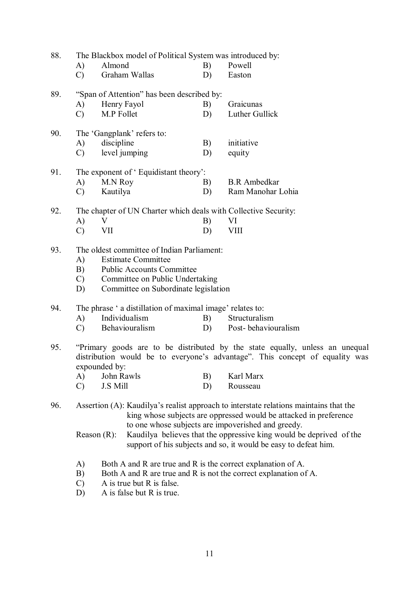88. The Blackbox model of Political System was introduced by:

| A)            | Almond        | B) | Powell |
|---------------|---------------|----|--------|
| $\mathcal{C}$ | Graham Wallas | D) | Easton |

- 89. "Span of Attention" has been described by: A) Henry Fayol B) Graicunas<br>
C) M P Follet D) Luther Gu C) M.P Follet D) Luther Gullick 90. The 'Gangplank' refers to: A) discipline B) initiative C) level jumping D) equity 91. The exponent of 'Equidistant theory':<br>A) M.N Roy B A) M.N Roy B) B.R Ambedkar C) Kautilya D) Ram Manohar Lohia 92. The chapter of UN Charter which deals with Collective Security: A) V B) VI C) VII D) VIII
- 93. The oldest committee of Indian Parliament:
	- A) Estimate Committee
	- B) Public Accounts Committee
	- C) Committee on Public Undertaking
	- D) Committee on Subordinate legislation
- 94. The phrase ' a distillation of maximal image' relates to:
	- A) Individualism B) Structuralism<br>
	C) Behaviouralism D) Post-behaviour
	- C) Behaviouralism D) Post- behaviouralism
- 95. "Primary goods are to be distributed by the state equally, unless an unequal distribution would be to everyone's advantage". This concept of equality was expounded by:
	- A) John Rawls B) Karl Marx C) J.S. Mill D) Rousseau
- 96. Assertion (A): Kaudilya's realist approach to interstate relations maintains that the king whose subjects are oppressed would be attacked in preference to one whose subjects are impoverished and greedy.

Reason (R): Kaudilya believes that the oppressive king would be deprived of the support of his subjects and so, it would be easy to defeat him.

- A) Both A and R are true and R is the correct explanation of A.
- B) Both A and R are true and R is not the correct explanation of A.
- C) A is true but R is false.
- D) A is false but R is true.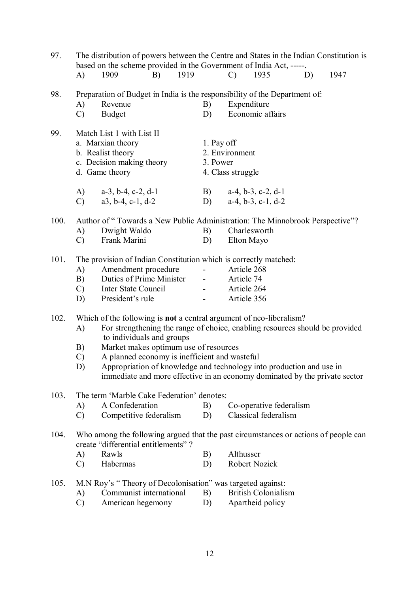| 97.  | A)                              | The distribution of powers between the Centre and States in the Indian Constitution is<br>based on the scheme provided in the Government of India Act, -----.<br>1909                                                                                                                                                                                                                                                                   | B) | 1919 |                                                      | $\mathcal{C}$                                           | 1935                                                  | D) | 1947 |
|------|---------------------------------|-----------------------------------------------------------------------------------------------------------------------------------------------------------------------------------------------------------------------------------------------------------------------------------------------------------------------------------------------------------------------------------------------------------------------------------------|----|------|------------------------------------------------------|---------------------------------------------------------|-------------------------------------------------------|----|------|
|      |                                 |                                                                                                                                                                                                                                                                                                                                                                                                                                         |    |      |                                                      |                                                         |                                                       |    |      |
| 98.  | A)<br>$\mathcal{C}$             | Preparation of Budget in India is the responsibility of the Department of:<br>Revenue<br><b>Budget</b>                                                                                                                                                                                                                                                                                                                                  |    |      | B)<br>D)                                             | Expenditure                                             | Economic affairs                                      |    |      |
| 99.  |                                 | Match List 1 with List II<br>a. Marxian theory<br>b. Realist theory<br>c. Decision making theory<br>d. Game theory                                                                                                                                                                                                                                                                                                                      |    |      | 1. Pay off<br>3. Power                               | 2. Environment<br>4. Class struggle                     |                                                       |    |      |
|      | A)<br>$\mathcal{C}$             | $a-3$ , $b-4$ , $c-2$ , $d-1$<br>$a3, b-4, c-1, d-2$                                                                                                                                                                                                                                                                                                                                                                                    |    |      | B)<br>D)                                             |                                                         | $a-4$ , $b-3$ , $c-2$ , $d-1$<br>$a-4, b-3, c-1, d-2$ |    |      |
| 100. | A)<br>$\mathcal{C}$             | Author of "Towards a New Public Administration: The Minnobrook Perspective"?<br>Dwight Waldo<br>Frank Marini                                                                                                                                                                                                                                                                                                                            |    |      | B)<br>D)                                             | Elton Mayo                                              | Charlesworth                                          |    |      |
| 101. | A)<br>B)<br>$\mathcal{C}$<br>D) | The provision of Indian Constitution which is correctly matched:<br>Amendment procedure<br>Duties of Prime Minister<br>Inter State Council<br>President's rule                                                                                                                                                                                                                                                                          |    |      | $\blacksquare$<br>$\sim$<br>$\overline{\phantom{a}}$ | Article 268<br>Article 74<br>Article 264<br>Article 356 |                                                       |    |      |
| 102. | A)<br>B)<br>$\mathcal{C}$<br>D) | Which of the following is <b>not</b> a central argument of neo-liberalism?<br>For strengthening the range of choice, enabling resources should be provided<br>to individuals and groups<br>Market makes optimum use of resources<br>A planned economy is inefficient and wasteful<br>Appropriation of knowledge and technology into production and use in<br>immediate and more effective in an economy dominated by the private sector |    |      |                                                      |                                                         |                                                       |    |      |
| 103. | A)<br>$\mathcal{C}$             | The term 'Marble Cake Federation' denotes:<br>A Confederation<br>Competitive federalism                                                                                                                                                                                                                                                                                                                                                 |    |      | B)<br>D)                                             |                                                         | Co-operative federalism<br>Classical federalism       |    |      |
| 104. | A)<br>C)                        | Who among the following argued that the past circumstances or actions of people can<br>create "differential entitlements"?<br>Rawls<br>Habermas                                                                                                                                                                                                                                                                                         |    |      | B)<br>D)                                             | Althusser                                               | Robert Nozick                                         |    |      |
| 105. | A)<br>$\mathcal{C}$             | M.N Roy's "Theory of Decolonisation" was targeted against:<br>Communist international<br>American hegemony                                                                                                                                                                                                                                                                                                                              |    |      | B)<br>D)                                             |                                                         | <b>British Colonialism</b><br>Apartheid policy        |    |      |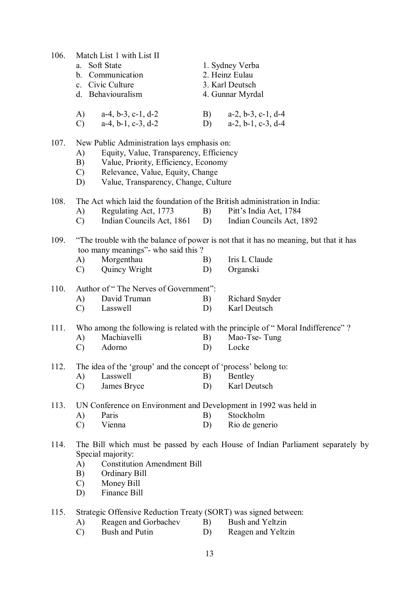| 106. | Match List 1 with List II<br>Soft State<br>a.<br>b. Communication<br>c. Civic Culture<br>d. Behaviouralism                                                                                                                                    |          | 1. Sydney Verba<br>2. Heinz Eulau<br>3. Karl Deutsch<br>4. Gunnar Myrdal                                           |
|------|-----------------------------------------------------------------------------------------------------------------------------------------------------------------------------------------------------------------------------------------------|----------|--------------------------------------------------------------------------------------------------------------------|
|      | (A)<br>$a-4, b-3, c-1, d-2$<br>$a-4$ , $b-1$ , $c-3$ , $d-2$<br>$\mathcal{C}$                                                                                                                                                                 | B)<br>D) | $a-2, b-3, c-1, d-4$<br>$a-2$ , $b-1$ , $c-3$ , $d-4$                                                              |
| 107. | New Public Administration lays emphasis on:<br>Equity, Value, Transparency, Efficiency<br>A)<br>Value, Priority, Efficiency, Economy<br>B)<br>Relevance, Value, Equity, Change<br>$\mathcal{C}$<br>Value, Transparency, Change, Culture<br>D) |          |                                                                                                                    |
| 108. | The Act which laid the foundation of the British administration in India:<br>Regulating Act, 1773<br>A)<br>Indian Councils Act, 1861 D)<br>$\mathcal{C}$                                                                                      | B)       | Pitt's India Act, 1784<br>Indian Councils Act, 1892                                                                |
| 109. | too many meanings"- who said this?<br>Morgenthau<br>A)<br>Quincy Wright<br>$\mathcal{C}$                                                                                                                                                      | B)<br>D) | "The trouble with the balance of power is not that it has no meaning, but that it has<br>Iris L Claude<br>Organski |
| 110. | Author of "The Nerves of Government":<br>David Truman<br>A)<br>Lasswell<br>$\mathcal{C}$                                                                                                                                                      | B)<br>D) | Richard Snyder<br>Karl Deutsch                                                                                     |
| 111. | Machiavelli<br>A)<br>Adorno<br>$\mathcal{C}$                                                                                                                                                                                                  | B)<br>D) | Who among the following is related with the principle of "Moral Indifference"?<br>Mao-Tse-Tung<br>Locke            |
| 112. | The idea of the 'group' and the concept of 'process' belong to:<br>Lasswell<br>A)<br>James Bryce<br>$\mathcal{C}$                                                                                                                             | B)<br>D) | Bentley<br>Karl Deutsch                                                                                            |
| 113. | UN Conference on Environment and Development in 1992 was held in<br>Paris<br>A)<br>Vienna<br>$\mathcal{C}$                                                                                                                                    | B)<br>D) | Stockholm<br>Rio de generio                                                                                        |
| 114. | Special majority:<br><b>Constitution Amendment Bill</b><br>A)<br>B)<br>Ordinary Bill<br>Money Bill<br>$\mathcal{C}$<br>Finance Bill<br>D)                                                                                                     |          | The Bill which must be passed by each House of Indian Parliament separately by                                     |
| 115. | Strategic Offensive Reduction Treaty (SORT) was signed between:<br>Reagen and Gorbachev<br>A)<br>Bush and Putin<br>$\mathcal{C}$                                                                                                              | B)<br>D) | <b>Bush and Yeltzin</b><br>Reagen and Yeltzin                                                                      |

13